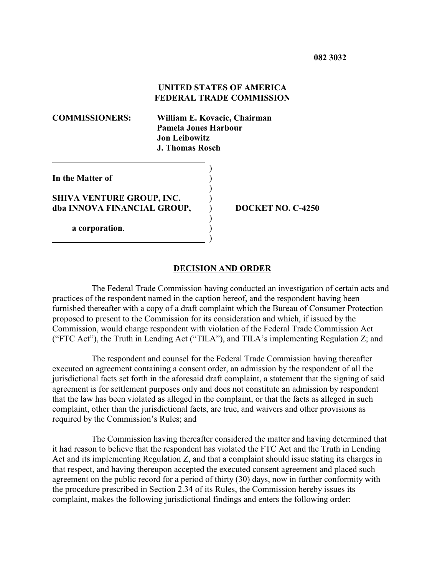**UNITED STATES OF AMERICA FEDERAL TRADE COMMISSION**

| <b>COMMISSIONERS:</b>                                           | William E. Kovacic, Chairman<br><b>Pamela Jones Harbour</b><br><b>Jon Leibowitz</b><br>J. Thomas Rosch |  |               |
|-----------------------------------------------------------------|--------------------------------------------------------------------------------------------------------|--|---------------|
| In the Matter of                                                |                                                                                                        |  |               |
| <b>SHIVA VENTURE GROUP, INC.</b><br>dba INNOVA FINANCIAL GROUP, |                                                                                                        |  | <b>DOCKET</b> |
| a corporation.                                                  |                                                                                                        |  |               |

**docket No. C-4250** 

#### **DECISION AND ORDER**

The Federal Trade Commission having conducted an investigation of certain acts and practices of the respondent named in the caption hereof, and the respondent having been furnished thereafter with a copy of a draft complaint which the Bureau of Consumer Protection proposed to present to the Commission for its consideration and which, if issued by the Commission, would charge respondent with violation of the Federal Trade Commission Act ("FTC Act"), the Truth in Lending Act ("TILA"), and TILA's implementing Regulation Z; and

The respondent and counsel for the Federal Trade Commission having thereafter executed an agreement containing a consent order, an admission by the respondent of all the jurisdictional facts set forth in the aforesaid draft complaint, a statement that the signing of said agreement is for settlement purposes only and does not constitute an admission by respondent that the law has been violated as alleged in the complaint, or that the facts as alleged in such complaint, other than the jurisdictional facts, are true, and waivers and other provisions as required by the Commission's Rules; and

The Commission having thereafter considered the matter and having determined that it had reason to believe that the respondent has violated the FTC Act and the Truth in Lending Act and its implementing Regulation Z, and that a complaint should issue stating its charges in that respect, and having thereupon accepted the executed consent agreement and placed such agreement on the public record for a period of thirty (30) days, now in further conformity with the procedure prescribed in Section 2.34 of its Rules, the Commission hereby issues its complaint, makes the following jurisdictional findings and enters the following order: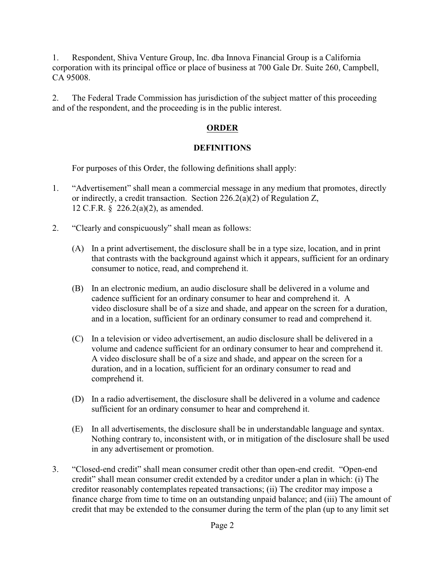1. Respondent, Shiva Venture Group, Inc. dba Innova Financial Group is a California corporation with its principal office or place of business at 700 Gale Dr. Suite 260, Campbell, CA 95008.

2. The Federal Trade Commission has jurisdiction of the subject matter of this proceeding and of the respondent, and the proceeding is in the public interest.

## **ORDER**

## **DEFINITIONS**

For purposes of this Order, the following definitions shall apply:

- 1. "Advertisement" shall mean a commercial message in any medium that promotes, directly or indirectly, a credit transaction. Section 226.2(a)(2) of Regulation Z, 12 C.F.R. § 226.2(a)(2), as amended.
- 2. "Clearly and conspicuously" shall mean as follows:
	- (A) In a print advertisement, the disclosure shall be in a type size, location, and in print that contrasts with the background against which it appears, sufficient for an ordinary consumer to notice, read, and comprehend it.
	- (B) In an electronic medium, an audio disclosure shall be delivered in a volume and cadence sufficient for an ordinary consumer to hear and comprehend it. A video disclosure shall be of a size and shade, and appear on the screen for a duration, and in a location, sufficient for an ordinary consumer to read and comprehend it.
	- (C) In a television or video advertisement, an audio disclosure shall be delivered in a volume and cadence sufficient for an ordinary consumer to hear and comprehend it. A video disclosure shall be of a size and shade, and appear on the screen for a duration, and in a location, sufficient for an ordinary consumer to read and comprehend it.
	- (D) In a radio advertisement, the disclosure shall be delivered in a volume and cadence sufficient for an ordinary consumer to hear and comprehend it.
	- (E) In all advertisements, the disclosure shall be in understandable language and syntax. Nothing contrary to, inconsistent with, or in mitigation of the disclosure shall be used in any advertisement or promotion.
- 3. "Closed-end credit" shall mean consumer credit other than open-end credit. "Open-end credit" shall mean consumer credit extended by a creditor under a plan in which: (i) The creditor reasonably contemplates repeated transactions; (ii) The creditor may impose a finance charge from time to time on an outstanding unpaid balance; and (iii) The amount of credit that may be extended to the consumer during the term of the plan (up to any limit set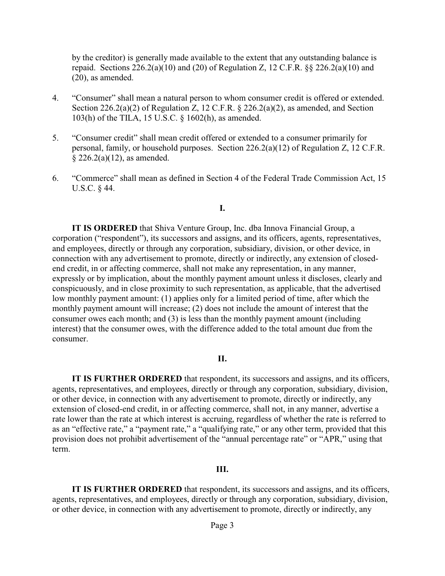by the creditor) is generally made available to the extent that any outstanding balance is repaid. Sections  $226.2(a)(10)$  and  $(20)$  of Regulation Z, 12 C.F.R. §§  $226.2(a)(10)$  and (20), as amended.

- 4. "Consumer" shall mean a natural person to whom consumer credit is offered or extended. Section 226.2(a)(2) of Regulation Z, 12 C.F.R. § 226.2(a)(2), as amended, and Section 103(h) of the TILA, 15 U.S.C. § 1602(h), as amended.
- 5. "Consumer credit" shall mean credit offered or extended to a consumer primarily for personal, family, or household purposes. Section 226.2(a)(12) of Regulation Z, 12 C.F.R. § 226.2(a)(12), as amended.
- 6. "Commerce" shall mean as defined in Section 4 of the Federal Trade Commission Act, 15 U.S.C. § 44.

## **I.**

**IT IS ORDERED** that Shiva Venture Group, Inc. dba Innova Financial Group, a corporation ("respondent"), its successors and assigns, and its officers, agents, representatives, and employees, directly or through any corporation, subsidiary, division, or other device, in connection with any advertisement to promote, directly or indirectly, any extension of closedend credit, in or affecting commerce, shall not make any representation, in any manner, expressly or by implication, about the monthly payment amount unless it discloses, clearly and conspicuously, and in close proximity to such representation, as applicable, that the advertised low monthly payment amount: (1) applies only for a limited period of time, after which the monthly payment amount will increase; (2) does not include the amount of interest that the consumer owes each month; and (3) is less than the monthly payment amount (including interest) that the consumer owes, with the difference added to the total amount due from the consumer.

#### **II.**

**IT IS FURTHER ORDERED** that respondent, its successors and assigns, and its officers, agents, representatives, and employees, directly or through any corporation, subsidiary, division, or other device, in connection with any advertisement to promote, directly or indirectly, any extension of closed-end credit, in or affecting commerce, shall not, in any manner, advertise a rate lower than the rate at which interest is accruing, regardless of whether the rate is referred to as an "effective rate," a "payment rate," a "qualifying rate," or any other term, provided that this provision does not prohibit advertisement of the "annual percentage rate" or "APR," using that term.

#### **III.**

**IT IS FURTHER ORDERED** that respondent, its successors and assigns, and its officers, agents, representatives, and employees, directly or through any corporation, subsidiary, division, or other device, in connection with any advertisement to promote, directly or indirectly, any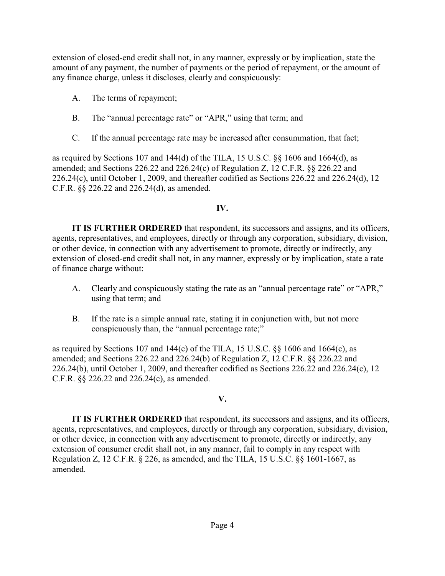extension of closed-end credit shall not, in any manner, expressly or by implication, state the amount of any payment, the number of payments or the period of repayment, or the amount of any finance charge, unless it discloses, clearly and conspicuously:

- A. The terms of repayment;
- B. The "annual percentage rate" or "APR," using that term; and
- C. If the annual percentage rate may be increased after consummation, that fact;

as required by Sections 107 and 144(d) of the TILA, 15 U.S.C. §§ 1606 and 1664(d), as amended; and Sections 226.22 and 226.24(c) of Regulation Z, 12 C.F.R. §§ 226.22 and 226.24(c), until October 1, 2009, and thereafter codified as Sections 226.22 and 226.24(d), 12 C.F.R. §§ 226.22 and 226.24(d), as amended.

## **IV.**

**IT IS FURTHER ORDERED** that respondent, its successors and assigns, and its officers, agents, representatives, and employees, directly or through any corporation, subsidiary, division, or other device, in connection with any advertisement to promote, directly or indirectly, any extension of closed-end credit shall not, in any manner, expressly or by implication, state a rate of finance charge without:

- A. Clearly and conspicuously stating the rate as an "annual percentage rate" or "APR," using that term; and
- B. If the rate is a simple annual rate, stating it in conjunction with, but not more conspicuously than, the "annual percentage rate;"

as required by Sections 107 and 144(c) of the TILA, 15 U.S.C. §§ 1606 and 1664(c), as amended; and Sections 226.22 and 226.24(b) of Regulation Z, 12 C.F.R. §§ 226.22 and 226.24(b), until October 1, 2009, and thereafter codified as Sections 226.22 and 226.24(c), 12 C.F.R. §§ 226.22 and 226.24(c), as amended.

# **V.**

**IT IS FURTHER ORDERED** that respondent, its successors and assigns, and its officers, agents, representatives, and employees, directly or through any corporation, subsidiary, division, or other device, in connection with any advertisement to promote, directly or indirectly, any extension of consumer credit shall not, in any manner, fail to comply in any respect with Regulation Z, 12 C.F.R. § 226, as amended, and the TILA, 15 U.S.C. §§ 1601-1667, as amended.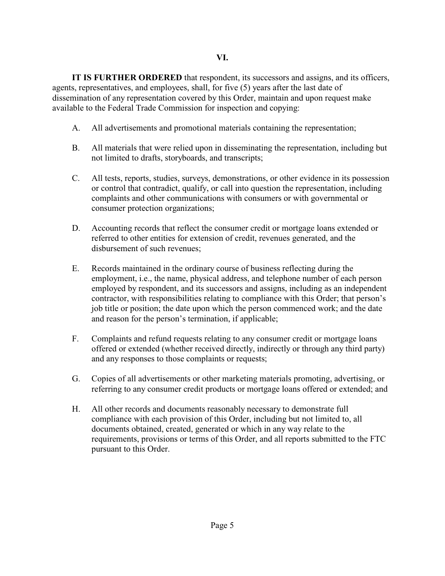**IT IS FURTHER ORDERED** that respondent, its successors and assigns, and its officers, agents, representatives, and employees, shall, for five (5) years after the last date of dissemination of any representation covered by this Order, maintain and upon request make available to the Federal Trade Commission for inspection and copying:

- A. All advertisements and promotional materials containing the representation;
- B. All materials that were relied upon in disseminating the representation, including but not limited to drafts, storyboards, and transcripts;
- C. All tests, reports, studies, surveys, demonstrations, or other evidence in its possession or control that contradict, qualify, or call into question the representation, including complaints and other communications with consumers or with governmental or consumer protection organizations;
- D. Accounting records that reflect the consumer credit or mortgage loans extended or referred to other entities for extension of credit, revenues generated, and the disbursement of such revenues;
- E. Records maintained in the ordinary course of business reflecting during the employment, i.e., the name, physical address, and telephone number of each person employed by respondent, and its successors and assigns, including as an independent contractor, with responsibilities relating to compliance with this Order; that person's job title or position; the date upon which the person commenced work; and the date and reason for the person's termination, if applicable;
- F. Complaints and refund requests relating to any consumer credit or mortgage loans offered or extended (whether received directly, indirectly or through any third party) and any responses to those complaints or requests;
- G. Copies of all advertisements or other marketing materials promoting, advertising, or referring to any consumer credit products or mortgage loans offered or extended; and
- H. All other records and documents reasonably necessary to demonstrate full compliance with each provision of this Order, including but not limited to, all documents obtained, created, generated or which in any way relate to the requirements, provisions or terms of this Order, and all reports submitted to the FTC pursuant to this Order.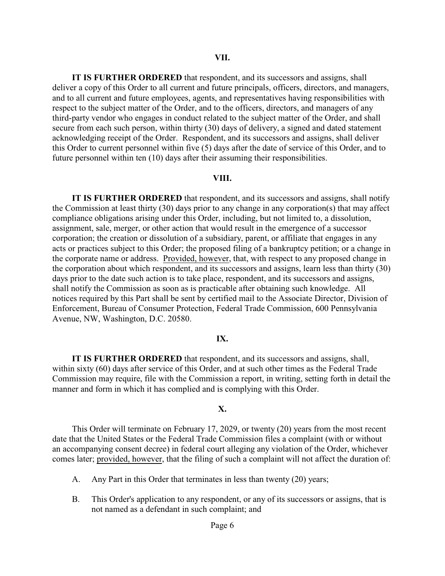**IT IS FURTHER ORDERED** that respondent, and its successors and assigns, shall deliver a copy of this Order to all current and future principals, officers, directors, and managers, and to all current and future employees, agents, and representatives having responsibilities with respect to the subject matter of the Order, and to the officers, directors, and managers of any third-party vendor who engages in conduct related to the subject matter of the Order, and shall secure from each such person, within thirty (30) days of delivery, a signed and dated statement acknowledging receipt of the Order. Respondent, and its successors and assigns, shall deliver this Order to current personnel within five (5) days after the date of service of this Order, and to future personnel within ten (10) days after their assuming their responsibilities.

### **VIII.**

**IT IS FURTHER ORDERED** that respondent, and its successors and assigns, shall notify the Commission at least thirty (30) days prior to any change in any corporation(s) that may affect compliance obligations arising under this Order, including, but not limited to, a dissolution, assignment, sale, merger, or other action that would result in the emergence of a successor corporation; the creation or dissolution of a subsidiary, parent, or affiliate that engages in any acts or practices subject to this Order; the proposed filing of a bankruptcy petition; or a change in the corporate name or address. Provided, however, that, with respect to any proposed change in the corporation about which respondent, and its successors and assigns, learn less than thirty (30) days prior to the date such action is to take place, respondent, and its successors and assigns, shall notify the Commission as soon as is practicable after obtaining such knowledge. All notices required by this Part shall be sent by certified mail to the Associate Director, Division of Enforcement, Bureau of Consumer Protection, Federal Trade Commission, 600 Pennsylvania Avenue, NW, Washington, D.C. 20580.

#### **IX.**

**IT IS FURTHER ORDERED** that respondent, and its successors and assigns, shall, within sixty (60) days after service of this Order, and at such other times as the Federal Trade Commission may require, file with the Commission a report, in writing, setting forth in detail the manner and form in which it has complied and is complying with this Order.

### **X.**

This Order will terminate on February 17, 2029, or twenty (20) years from the most recent date that the United States or the Federal Trade Commission files a complaint (with or without an accompanying consent decree) in federal court alleging any violation of the Order, whichever comes later; provided, however, that the filing of such a complaint will not affect the duration of:

- A. Any Part in this Order that terminates in less than twenty (20) years;
- B. This Order's application to any respondent, or any of its successors or assigns, that is not named as a defendant in such complaint; and